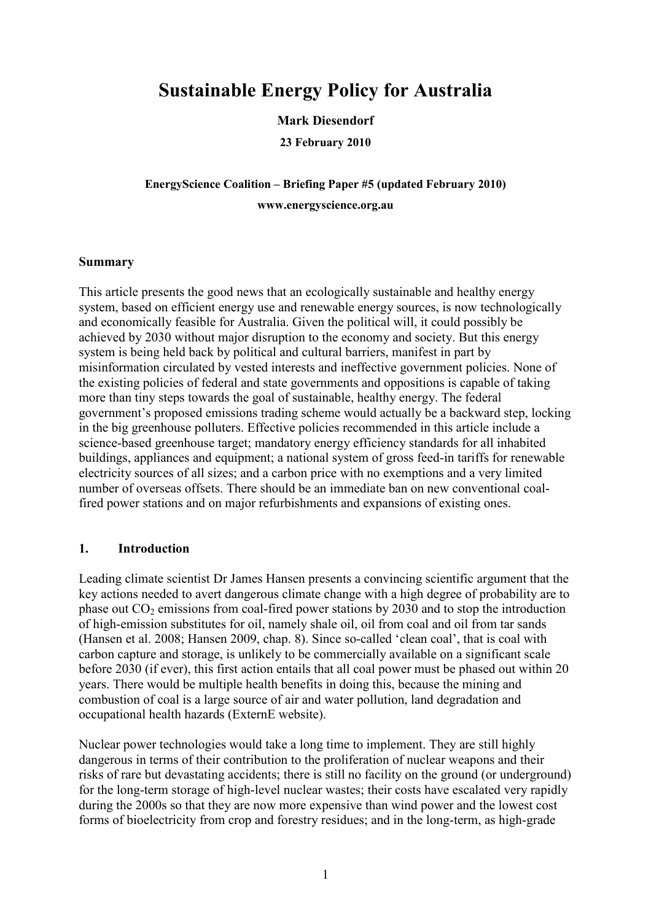# **Sustainable Energy Policy for Australia**

#### **Mark Diesendorf**

**23 February 2010** 

**EnergyScience Coalition – Briefing Paper #5 (updated February 2010) www.energyscience.org.au** 

#### **Summary**

This article presents the good news that an ecologically sustainable and healthy energy system, based on efficient energy use and renewable energy sources, is now technologically and economically feasible for Australia. Given the political will, it could possibly be achieved by 2030 without major disruption to the economy and society. But this energy system is being held back by political and cultural barriers, manifest in part by misinformation circulated by vested interests and ineffective government policies. None of the existing policies of federal and state governments and oppositions is capable of taking more than tiny steps towards the goal of sustainable, healthy energy. The federal government's proposed emissions trading scheme would actually be a backward step, locking in the big greenhouse polluters. Effective policies recommended in this article include a science-based greenhouse target; mandatory energy efficiency standards for all inhabited buildings, appliances and equipment; a national system of gross feed-in tariffs for renewable electricity sources of all sizes; and a carbon price with no exemptions and a very limited number of overseas offsets. There should be an immediate ban on new conventional coalfired power stations and on major refurbishments and expansions of existing ones.

#### **1. Introduction**

Leading climate scientist Dr James Hansen presents a convincing scientific argument that the key actions needed to avert dangerous climate change with a high degree of probability are to phase out  $CO_2$  emissions from coal-fired power stations by 2030 and to stop the introduction of high-emission substitutes for oil, namely shale oil, oil from coal and oil from tar sands (Hansen et al. 2008; Hansen 2009, chap. 8). Since so-called 'clean coal', that is coal with carbon capture and storage, is unlikely to be commercially available on a significant scale before 2030 (if ever), this first action entails that all coal power must be phased out within 20 years. There would be multiple health benefits in doing this, because the mining and combustion of coal is a large source of air and water pollution, land degradation and occupational health hazards (ExternE website).

Nuclear power technologies would take a long time to implement. They are still highly dangerous in terms of their contribution to the proliferation of nuclear weapons and their risks of rare but devastating accidents; there is still no facility on the ground (or underground) for the long-term storage of high-level nuclear wastes; their costs have escalated very rapidly during the 2000s so that they are now more expensive than wind power and the lowest cost forms of bioelectricity from crop and forestry residues; and in the long-term, as high-grade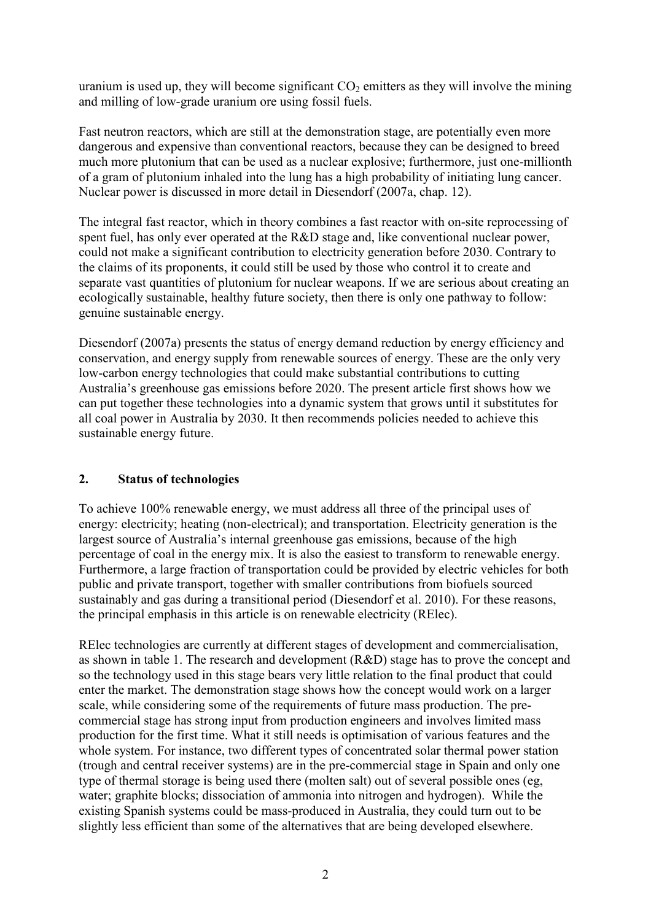uranium is used up, they will become significant  $CO<sub>2</sub>$  emitters as they will involve the mining and milling of low-grade uranium ore using fossil fuels.

Fast neutron reactors, which are still at the demonstration stage, are potentially even more dangerous and expensive than conventional reactors, because they can be designed to breed much more plutonium that can be used as a nuclear explosive; furthermore, just one-millionth of a gram of plutonium inhaled into the lung has a high probability of initiating lung cancer. Nuclear power is discussed in more detail in Diesendorf (2007a, chap. 12).

The integral fast reactor, which in theory combines a fast reactor with on-site reprocessing of spent fuel, has only ever operated at the R&D stage and, like conventional nuclear power, could not make a significant contribution to electricity generation before 2030. Contrary to the claims of its proponents, it could still be used by those who control it to create and separate vast quantities of plutonium for nuclear weapons. If we are serious about creating an ecologically sustainable, healthy future society, then there is only one pathway to follow: genuine sustainable energy.

Diesendorf (2007a) presents the status of energy demand reduction by energy efficiency and conservation, and energy supply from renewable sources of energy. These are the only very low-carbon energy technologies that could make substantial contributions to cutting Australia's greenhouse gas emissions before 2020. The present article first shows how we can put together these technologies into a dynamic system that grows until it substitutes for all coal power in Australia by 2030. It then recommends policies needed to achieve this sustainable energy future.

# **2. Status of technologies**

To achieve 100% renewable energy, we must address all three of the principal uses of energy: electricity; heating (non-electrical); and transportation. Electricity generation is the largest source of Australia's internal greenhouse gas emissions, because of the high percentage of coal in the energy mix. It is also the easiest to transform to renewable energy. Furthermore, a large fraction of transportation could be provided by electric vehicles for both public and private transport, together with smaller contributions from biofuels sourced sustainably and gas during a transitional period (Diesendorf et al. 2010). For these reasons, the principal emphasis in this article is on renewable electricity (RElec).

RElec technologies are currently at different stages of development and commercialisation, as shown in table 1. The research and development (R&D) stage has to prove the concept and so the technology used in this stage bears very little relation to the final product that could enter the market. The demonstration stage shows how the concept would work on a larger scale, while considering some of the requirements of future mass production. The precommercial stage has strong input from production engineers and involves limited mass production for the first time. What it still needs is optimisation of various features and the whole system. For instance, two different types of concentrated solar thermal power station (trough and central receiver systems) are in the pre-commercial stage in Spain and only one type of thermal storage is being used there (molten salt) out of several possible ones (eg, water; graphite blocks; dissociation of ammonia into nitrogen and hydrogen). While the existing Spanish systems could be mass-produced in Australia, they could turn out to be slightly less efficient than some of the alternatives that are being developed elsewhere.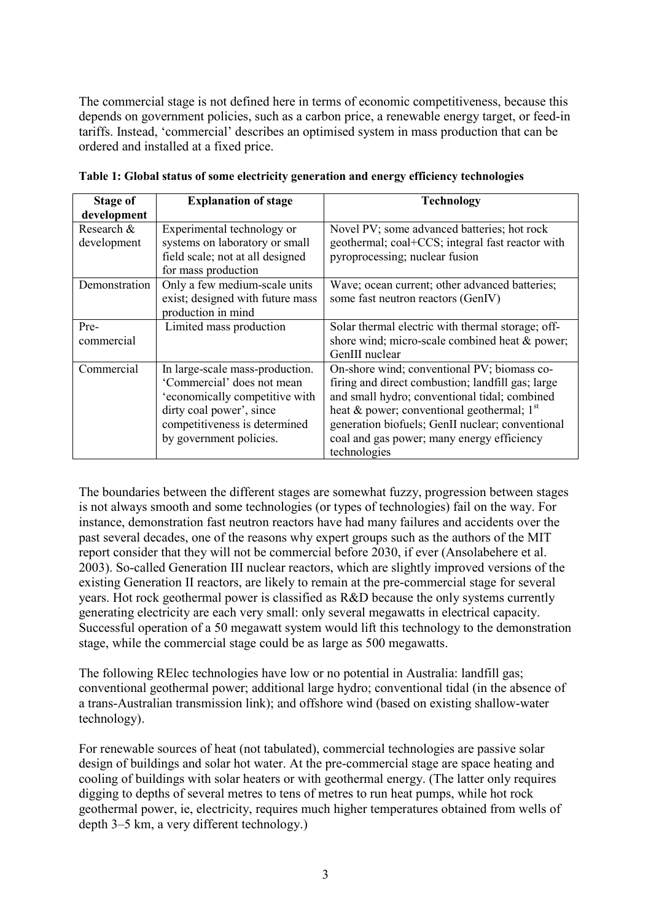The commercial stage is not defined here in terms of economic competitiveness, because this depends on government policies, such as a carbon price, a renewable energy target, or feed-in tariffs. Instead, 'commercial' describes an optimised system in mass production that can be ordered and installed at a fixed price.

| Stage of                  | <b>Explanation of stage</b>                                                                                                                                                             | <b>Technology</b>                                                                                                                                                                                                                                                                                                   |
|---------------------------|-----------------------------------------------------------------------------------------------------------------------------------------------------------------------------------------|---------------------------------------------------------------------------------------------------------------------------------------------------------------------------------------------------------------------------------------------------------------------------------------------------------------------|
| development               |                                                                                                                                                                                         |                                                                                                                                                                                                                                                                                                                     |
| Research &<br>development | Experimental technology or<br>systems on laboratory or small<br>field scale; not at all designed<br>for mass production                                                                 | Novel PV; some advanced batteries; hot rock<br>geothermal; coal+CCS; integral fast reactor with<br>pyroprocessing; nuclear fusion                                                                                                                                                                                   |
| Demonstration             | Only a few medium-scale units<br>exist; designed with future mass<br>production in mind                                                                                                 | Wave; ocean current; other advanced batteries;<br>some fast neutron reactors (GenIV)                                                                                                                                                                                                                                |
| Pre-<br>commercial        | Limited mass production                                                                                                                                                                 | Solar thermal electric with thermal storage; off-<br>shore wind; micro-scale combined heat & power;<br>GenIII nuclear                                                                                                                                                                                               |
| Commercial                | In large-scale mass-production.<br>'Commercial' does not mean<br>'economically competitive with<br>dirty coal power', since<br>competitiveness is determined<br>by government policies. | On-shore wind; conventional PV; biomass co-<br>firing and direct combustion; landfill gas; large<br>and small hydro; conventional tidal; combined<br>heat & power; conventional geothermal; $1st$<br>generation biofuels; GenII nuclear; conventional<br>coal and gas power; many energy efficiency<br>technologies |

**Table 1: Global status of some electricity generation and energy efficiency technologies** 

The boundaries between the different stages are somewhat fuzzy, progression between stages is not always smooth and some technologies (or types of technologies) fail on the way. For instance, demonstration fast neutron reactors have had many failures and accidents over the past several decades, one of the reasons why expert groups such as the authors of the MIT report consider that they will not be commercial before 2030, if ever (Ansolabehere et al. 2003). So-called Generation III nuclear reactors, which are slightly improved versions of the existing Generation II reactors, are likely to remain at the pre-commercial stage for several years. Hot rock geothermal power is classified as R&D because the only systems currently generating electricity are each very small: only several megawatts in electrical capacity. Successful operation of a 50 megawatt system would lift this technology to the demonstration stage, while the commercial stage could be as large as 500 megawatts.

The following RElec technologies have low or no potential in Australia: landfill gas; conventional geothermal power; additional large hydro; conventional tidal (in the absence of a trans-Australian transmission link); and offshore wind (based on existing shallow-water technology).

For renewable sources of heat (not tabulated), commercial technologies are passive solar design of buildings and solar hot water. At the pre-commercial stage are space heating and cooling of buildings with solar heaters or with geothermal energy. (The latter only requires digging to depths of several metres to tens of metres to run heat pumps, while hot rock geothermal power, ie, electricity, requires much higher temperatures obtained from wells of depth 3–5 km, a very different technology.)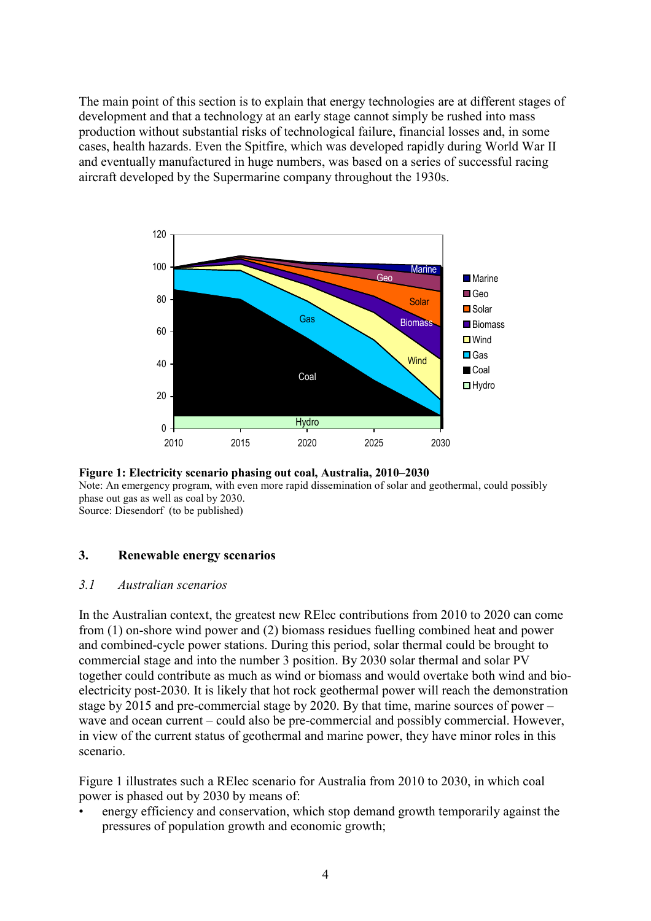The main point of this section is to explain that energy technologies are at different stages of development and that a technology at an early stage cannot simply be rushed into mass production without substantial risks of technological failure, financial losses and, in some cases, health hazards. Even the Spitfire, which was developed rapidly during World War II and eventually manufactured in huge numbers, was based on a series of successful racing aircraft developed by the Supermarine company throughout the 1930s.





#### **3. Renewable energy scenarios**

#### *3.1 Australian scenarios*

In the Australian context, the greatest new RElec contributions from 2010 to 2020 can come from (1) on-shore wind power and (2) biomass residues fuelling combined heat and power and combined-cycle power stations. During this period, solar thermal could be brought to commercial stage and into the number 3 position. By 2030 solar thermal and solar PV together could contribute as much as wind or biomass and would overtake both wind and bioelectricity post-2030. It is likely that hot rock geothermal power will reach the demonstration stage by 2015 and pre-commercial stage by 2020. By that time, marine sources of power – wave and ocean current – could also be pre-commercial and possibly commercial. However, in view of the current status of geothermal and marine power, they have minor roles in this scenario.

Figure 1 illustrates such a RElec scenario for Australia from 2010 to 2030, in which coal power is phased out by 2030 by means of:

• energy efficiency and conservation, which stop demand growth temporarily against the pressures of population growth and economic growth;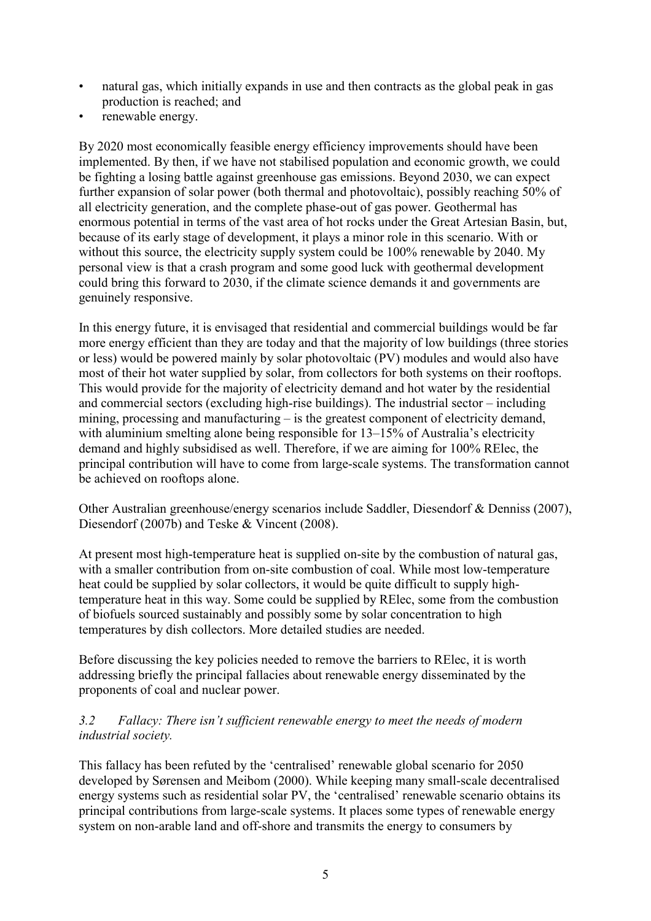- natural gas, which initially expands in use and then contracts as the global peak in gas production is reached; and
- renewable energy.

By 2020 most economically feasible energy efficiency improvements should have been implemented. By then, if we have not stabilised population and economic growth, we could be fighting a losing battle against greenhouse gas emissions. Beyond 2030, we can expect further expansion of solar power (both thermal and photovoltaic), possibly reaching 50% of all electricity generation, and the complete phase-out of gas power. Geothermal has enormous potential in terms of the vast area of hot rocks under the Great Artesian Basin, but, because of its early stage of development, it plays a minor role in this scenario. With or without this source, the electricity supply system could be 100% renewable by 2040. My personal view is that a crash program and some good luck with geothermal development could bring this forward to 2030, if the climate science demands it and governments are genuinely responsive.

In this energy future, it is envisaged that residential and commercial buildings would be far more energy efficient than they are today and that the majority of low buildings (three stories or less) would be powered mainly by solar photovoltaic (PV) modules and would also have most of their hot water supplied by solar, from collectors for both systems on their rooftops. This would provide for the majority of electricity demand and hot water by the residential and commercial sectors (excluding high-rise buildings). The industrial sector – including mining, processing and manufacturing – is the greatest component of electricity demand, with aluminium smelting alone being responsible for 13–15% of Australia's electricity demand and highly subsidised as well. Therefore, if we are aiming for 100% RElec, the principal contribution will have to come from large-scale systems. The transformation cannot be achieved on rooftops alone.

Other Australian greenhouse/energy scenarios include Saddler, Diesendorf & Denniss (2007), Diesendorf (2007b) and Teske & Vincent (2008).

At present most high-temperature heat is supplied on-site by the combustion of natural gas, with a smaller contribution from on-site combustion of coal. While most low-temperature heat could be supplied by solar collectors, it would be quite difficult to supply hightemperature heat in this way. Some could be supplied by RElec, some from the combustion of biofuels sourced sustainably and possibly some by solar concentration to high temperatures by dish collectors. More detailed studies are needed.

Before discussing the key policies needed to remove the barriers to RElec, it is worth addressing briefly the principal fallacies about renewable energy disseminated by the proponents of coal and nuclear power.

# *3.2 Fallacy: There isn't sufficient renewable energy to meet the needs of modern industrial society.*

This fallacy has been refuted by the 'centralised' renewable global scenario for 2050 developed by Sørensen and Meibom (2000). While keeping many small-scale decentralised energy systems such as residential solar PV, the 'centralised' renewable scenario obtains its principal contributions from large-scale systems. It places some types of renewable energy system on non-arable land and off-shore and transmits the energy to consumers by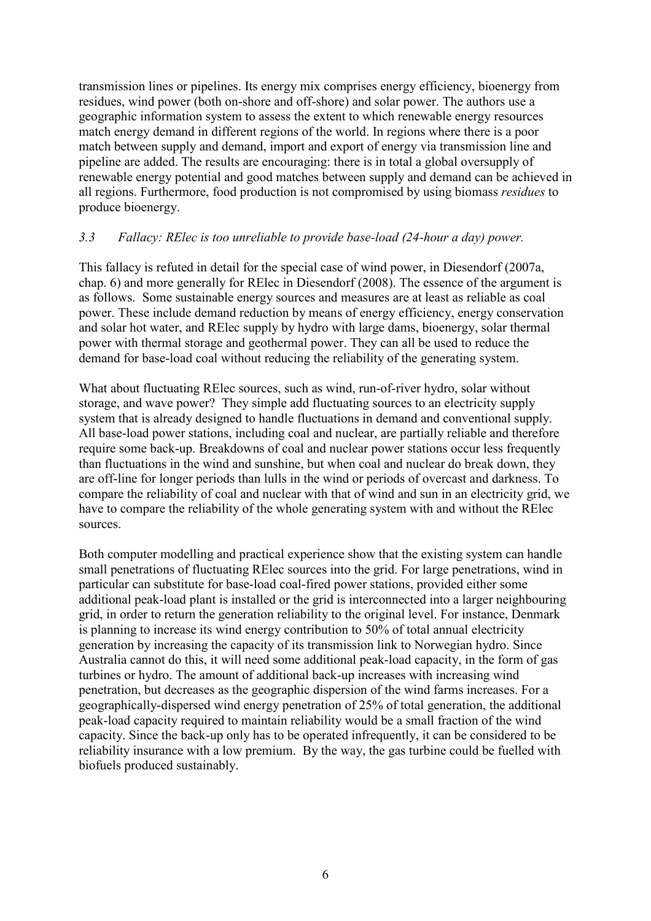transmission lines or pipelines. Its energy mix comprises energy efficiency, bioenergy from residues, wind power (both on-shore and off-shore) and solar power. The authors use a geographic information system to assess the extent to which renewable energy resources match energy demand in different regions of the world. In regions where there is a poor match between supply and demand, import and export of energy via transmission line and pipeline are added. The results are encouraging: there is in total a global oversupply of renewable energy potential and good matches between supply and demand can be achieved in all regions. Furthermore, food production is not compromised by using biomass *residues* to produce bioenergy.

## *3.3 Fallacy: RElec is too unreliable to provide base-load (24-hour a day) power.*

This fallacy is refuted in detail for the special case of wind power, in Diesendorf (2007a, chap. 6) and more generally for RElec in Diesendorf (2008). The essence of the argument is as follows. Some sustainable energy sources and measures are at least as reliable as coal power. These include demand reduction by means of energy efficiency, energy conservation and solar hot water, and RElec supply by hydro with large dams, bioenergy, solar thermal power with thermal storage and geothermal power. They can all be used to reduce the demand for base-load coal without reducing the reliability of the generating system.

What about fluctuating RElec sources, such as wind, run-of-river hydro, solar without storage, and wave power? They simple add fluctuating sources to an electricity supply system that is already designed to handle fluctuations in demand and conventional supply. All base-load power stations, including coal and nuclear, are partially reliable and therefore require some back-up. Breakdowns of coal and nuclear power stations occur less frequently than fluctuations in the wind and sunshine, but when coal and nuclear do break down, they are off-line for longer periods than lulls in the wind or periods of overcast and darkness. To compare the reliability of coal and nuclear with that of wind and sun in an electricity grid, we have to compare the reliability of the whole generating system with and without the RElec sources.

Both computer modelling and practical experience show that the existing system can handle small penetrations of fluctuating RElec sources into the grid. For large penetrations, wind in particular can substitute for base-load coal-fired power stations, provided either some additional peak-load plant is installed or the grid is interconnected into a larger neighbouring grid, in order to return the generation reliability to the original level. For instance, Denmark is planning to increase its wind energy contribution to 50% of total annual electricity generation by increasing the capacity of its transmission link to Norwegian hydro. Since Australia cannot do this, it will need some additional peak-load capacity, in the form of gas turbines or hydro. The amount of additional back-up increases with increasing wind penetration, but decreases as the geographic dispersion of the wind farms increases. For a geographically-dispersed wind energy penetration of 25% of total generation, the additional peak-load capacity required to maintain reliability would be a small fraction of the wind capacity. Since the back-up only has to be operated infrequently, it can be considered to be reliability insurance with a low premium. By the way, the gas turbine could be fuelled with biofuels produced sustainably.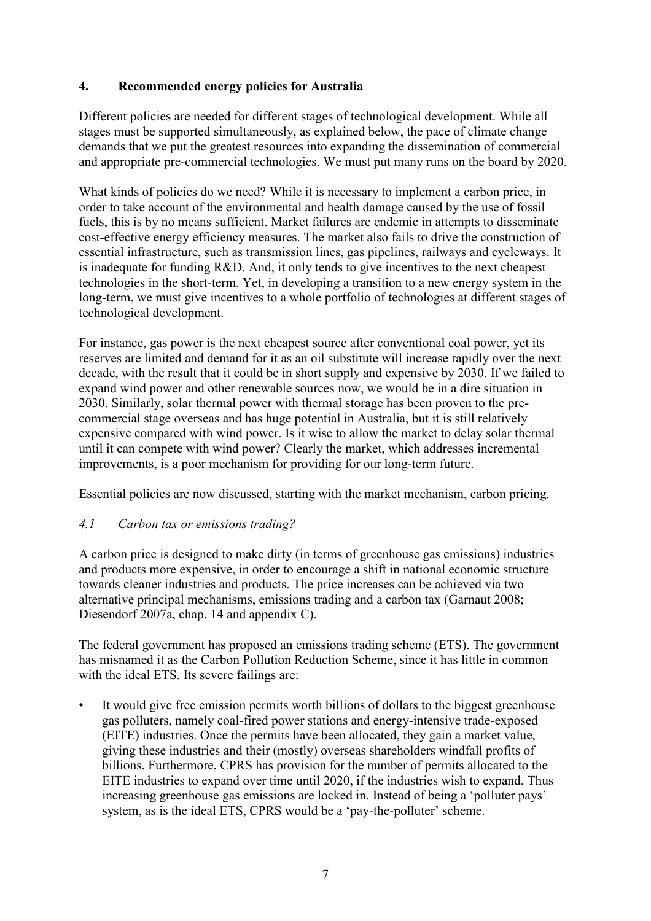# **4. Recommended energy policies for Australia**

Different policies are needed for different stages of technological development. While all stages must be supported simultaneously, as explained below, the pace of climate change demands that we put the greatest resources into expanding the dissemination of commercial and appropriate pre-commercial technologies. We must put many runs on the board by 2020.

What kinds of policies do we need? While it is necessary to implement a carbon price, in order to take account of the environmental and health damage caused by the use of fossil fuels, this is by no means sufficient. Market failures are endemic in attempts to disseminate cost-effective energy efficiency measures. The market also fails to drive the construction of essential infrastructure, such as transmission lines, gas pipelines, railways and cycleways. It is inadequate for funding R&D. And, it only tends to give incentives to the next cheapest technologies in the short-term. Yet, in developing a transition to a new energy system in the long-term, we must give incentives to a whole portfolio of technologies at different stages of technological development.

For instance, gas power is the next cheapest source after conventional coal power, yet its reserves are limited and demand for it as an oil substitute will increase rapidly over the next decade, with the result that it could be in short supply and expensive by 2030. If we failed to expand wind power and other renewable sources now, we would be in a dire situation in 2030. Similarly, solar thermal power with thermal storage has been proven to the precommercial stage overseas and has huge potential in Australia, but it is still relatively expensive compared with wind power. Is it wise to allow the market to delay solar thermal until it can compete with wind power? Clearly the market, which addresses incremental improvements, is a poor mechanism for providing for our long-term future.

Essential policies are now discussed, starting with the market mechanism, carbon pricing.

## *4.1 Carbon tax or emissions trading?*

A carbon price is designed to make dirty (in terms of greenhouse gas emissions) industries and products more expensive, in order to encourage a shift in national economic structure towards cleaner industries and products. The price increases can be achieved via two alternative principal mechanisms, emissions trading and a carbon tax (Garnaut 2008; Diesendorf 2007a, chap. 14 and appendix C).

The federal government has proposed an emissions trading scheme (ETS). The government has misnamed it as the Carbon Pollution Reduction Scheme, since it has little in common with the ideal ETS. Its severe failings are:

It would give free emission permits worth billions of dollars to the biggest greenhouse gas polluters, namely coal-fired power stations and energy-intensive trade-exposed (EITE) industries. Once the permits have been allocated, they gain a market value, giving these industries and their (mostly) overseas shareholders windfall profits of billions. Furthermore, CPRS has provision for the number of permits allocated to the EITE industries to expand over time until 2020, if the industries wish to expand. Thus increasing greenhouse gas emissions are locked in. Instead of being a 'polluter pays' system, as is the ideal ETS, CPRS would be a 'pay-the-polluter' scheme.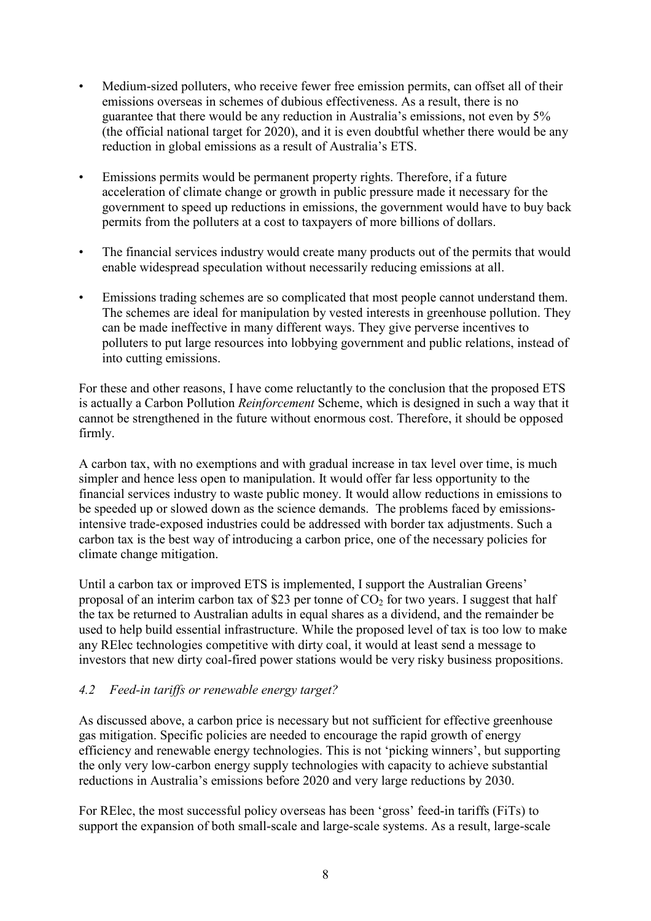- Medium-sized polluters, who receive fewer free emission permits, can offset all of their emissions overseas in schemes of dubious effectiveness. As a result, there is no guarantee that there would be any reduction in Australia's emissions, not even by 5% (the official national target for 2020), and it is even doubtful whether there would be any reduction in global emissions as a result of Australia's ETS.
- Emissions permits would be permanent property rights. Therefore, if a future acceleration of climate change or growth in public pressure made it necessary for the government to speed up reductions in emissions, the government would have to buy back permits from the polluters at a cost to taxpayers of more billions of dollars.
- The financial services industry would create many products out of the permits that would enable widespread speculation without necessarily reducing emissions at all.
- Emissions trading schemes are so complicated that most people cannot understand them. The schemes are ideal for manipulation by vested interests in greenhouse pollution. They can be made ineffective in many different ways. They give perverse incentives to polluters to put large resources into lobbying government and public relations, instead of into cutting emissions.

For these and other reasons, I have come reluctantly to the conclusion that the proposed ETS is actually a Carbon Pollution *Reinforcement* Scheme, which is designed in such a way that it cannot be strengthened in the future without enormous cost. Therefore, it should be opposed firmly.

A carbon tax, with no exemptions and with gradual increase in tax level over time, is much simpler and hence less open to manipulation. It would offer far less opportunity to the financial services industry to waste public money. It would allow reductions in emissions to be speeded up or slowed down as the science demands. The problems faced by emissionsintensive trade-exposed industries could be addressed with border tax adjustments. Such a carbon tax is the best way of introducing a carbon price, one of the necessary policies for climate change mitigation.

Until a carbon tax or improved ETS is implemented, I support the Australian Greens' proposal of an interim carbon tax of \$23 per tonne of  $CO<sub>2</sub>$  for two years. I suggest that half the tax be returned to Australian adults in equal shares as a dividend, and the remainder be used to help build essential infrastructure. While the proposed level of tax is too low to make any RElec technologies competitive with dirty coal, it would at least send a message to investors that new dirty coal-fired power stations would be very risky business propositions.

## *4.2 Feed-in tariffs or renewable energy target?*

As discussed above, a carbon price is necessary but not sufficient for effective greenhouse gas mitigation. Specific policies are needed to encourage the rapid growth of energy efficiency and renewable energy technologies. This is not 'picking winners', but supporting the only very low-carbon energy supply technologies with capacity to achieve substantial reductions in Australia's emissions before 2020 and very large reductions by 2030.

For RElec, the most successful policy overseas has been 'gross' feed-in tariffs (FiTs) to support the expansion of both small-scale and large-scale systems. As a result, large-scale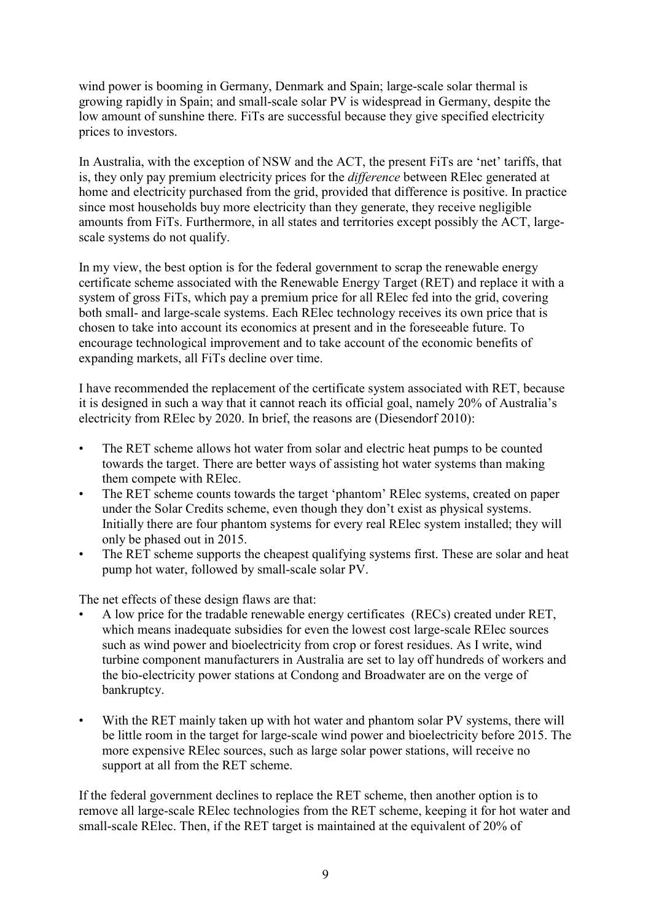wind power is booming in Germany, Denmark and Spain; large-scale solar thermal is growing rapidly in Spain; and small-scale solar PV is widespread in Germany, despite the low amount of sunshine there. FiTs are successful because they give specified electricity prices to investors.

In Australia, with the exception of NSW and the ACT, the present FiTs are 'net' tariffs, that is, they only pay premium electricity prices for the *difference* between RElec generated at home and electricity purchased from the grid, provided that difference is positive. In practice since most households buy more electricity than they generate, they receive negligible amounts from FiTs. Furthermore, in all states and territories except possibly the ACT, largescale systems do not qualify.

In my view, the best option is for the federal government to scrap the renewable energy certificate scheme associated with the Renewable Energy Target (RET) and replace it with a system of gross FiTs, which pay a premium price for all RElec fed into the grid, covering both small- and large-scale systems. Each RElec technology receives its own price that is chosen to take into account its economics at present and in the foreseeable future. To encourage technological improvement and to take account of the economic benefits of expanding markets, all FiTs decline over time.

I have recommended the replacement of the certificate system associated with RET, because it is designed in such a way that it cannot reach its official goal, namely 20% of Australia's electricity from RElec by 2020. In brief, the reasons are (Diesendorf 2010):

- The RET scheme allows hot water from solar and electric heat pumps to be counted towards the target. There are better ways of assisting hot water systems than making them compete with RElec.
- The RET scheme counts towards the target 'phantom' RElec systems, created on paper under the Solar Credits scheme, even though they don't exist as physical systems. Initially there are four phantom systems for every real RElec system installed; they will only be phased out in 2015.
- The RET scheme supports the cheapest qualifying systems first. These are solar and heat pump hot water, followed by small-scale solar PV.

The net effects of these design flaws are that:

- A low price for the tradable renewable energy certificates (RECs) created under RET, which means inadequate subsidies for even the lowest cost large-scale RElec sources such as wind power and bioelectricity from crop or forest residues. As I write, wind turbine component manufacturers in Australia are set to lay off hundreds of workers and the bio-electricity power stations at Condong and Broadwater are on the verge of bankruptcy.
- With the RET mainly taken up with hot water and phantom solar PV systems, there will be little room in the target for large-scale wind power and bioelectricity before 2015. The more expensive RElec sources, such as large solar power stations, will receive no support at all from the RET scheme.

If the federal government declines to replace the RET scheme, then another option is to remove all large-scale RElec technologies from the RET scheme, keeping it for hot water and small-scale RElec. Then, if the RET target is maintained at the equivalent of 20% of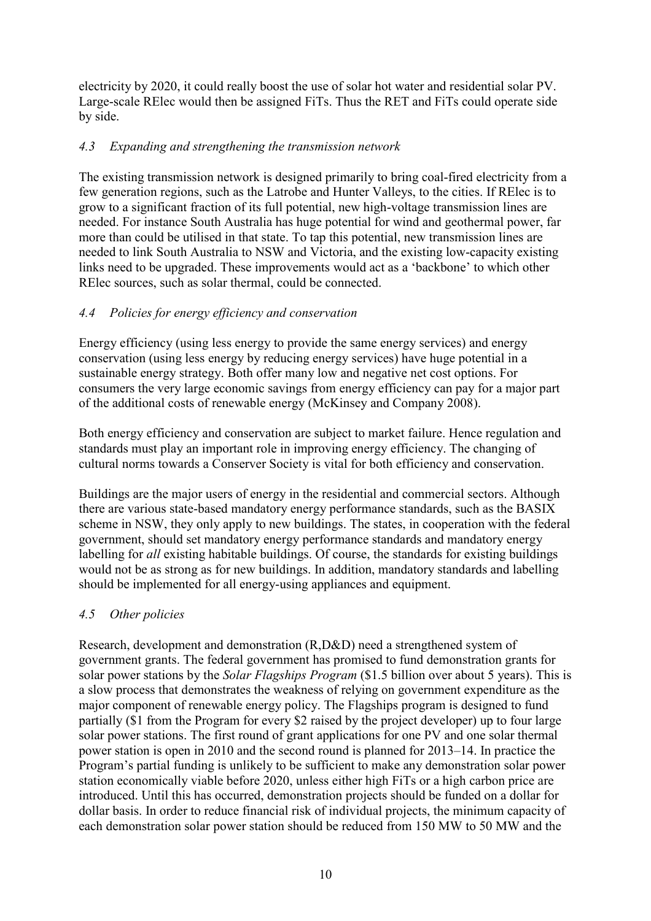electricity by 2020, it could really boost the use of solar hot water and residential solar PV. Large-scale RElec would then be assigned FiTs. Thus the RET and FiTs could operate side by side.

# *4.3 Expanding and strengthening the transmission network*

The existing transmission network is designed primarily to bring coal-fired electricity from a few generation regions, such as the Latrobe and Hunter Valleys, to the cities. If RElec is to grow to a significant fraction of its full potential, new high-voltage transmission lines are needed. For instance South Australia has huge potential for wind and geothermal power, far more than could be utilised in that state. To tap this potential, new transmission lines are needed to link South Australia to NSW and Victoria, and the existing low-capacity existing links need to be upgraded. These improvements would act as a 'backbone' to which other RElec sources, such as solar thermal, could be connected.

# *4.4 Policies for energy efficiency and conservation*

Energy efficiency (using less energy to provide the same energy services) and energy conservation (using less energy by reducing energy services) have huge potential in a sustainable energy strategy. Both offer many low and negative net cost options. For consumers the very large economic savings from energy efficiency can pay for a major part of the additional costs of renewable energy (McKinsey and Company 2008).

Both energy efficiency and conservation are subject to market failure. Hence regulation and standards must play an important role in improving energy efficiency. The changing of cultural norms towards a Conserver Society is vital for both efficiency and conservation.

Buildings are the major users of energy in the residential and commercial sectors. Although there are various state-based mandatory energy performance standards, such as the BASIX scheme in NSW, they only apply to new buildings. The states, in cooperation with the federal government, should set mandatory energy performance standards and mandatory energy labelling for *all* existing habitable buildings. Of course, the standards for existing buildings would not be as strong as for new buildings. In addition, mandatory standards and labelling should be implemented for all energy-using appliances and equipment.

# *4.5 Other policies*

Research, development and demonstration (R,D&D) need a strengthened system of government grants. The federal government has promised to fund demonstration grants for solar power stations by the *Solar Flagships Program* (\$1.5 billion over about 5 years). This is a slow process that demonstrates the weakness of relying on government expenditure as the major component of renewable energy policy. The Flagships program is designed to fund partially (\$1 from the Program for every \$2 raised by the project developer) up to four large solar power stations. The first round of grant applications for one PV and one solar thermal power station is open in 2010 and the second round is planned for 2013–14. In practice the Program's partial funding is unlikely to be sufficient to make any demonstration solar power station economically viable before 2020, unless either high FiTs or a high carbon price are introduced. Until this has occurred, demonstration projects should be funded on a dollar for dollar basis. In order to reduce financial risk of individual projects, the minimum capacity of each demonstration solar power station should be reduced from 150 MW to 50 MW and the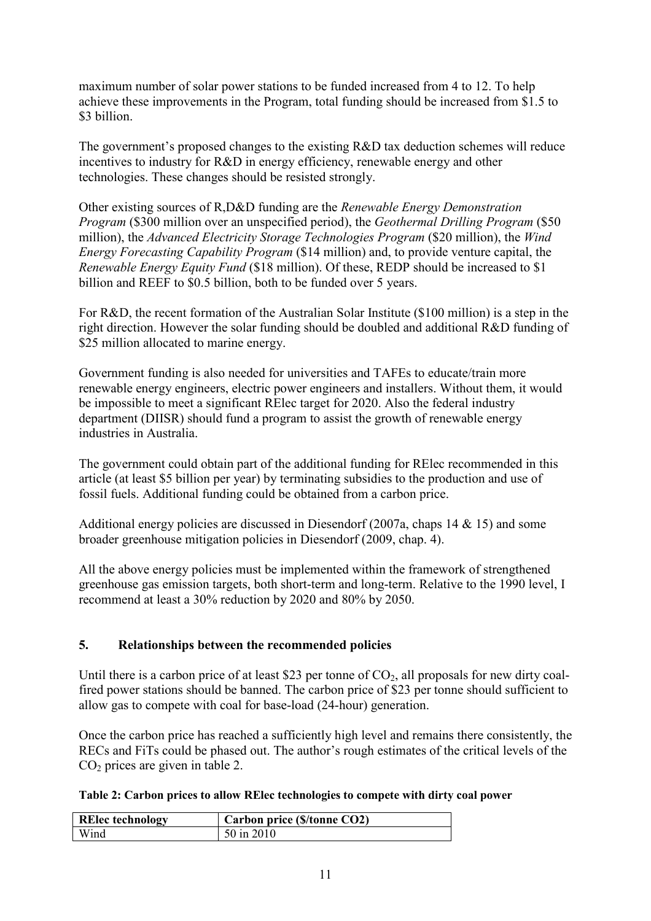maximum number of solar power stations to be funded increased from 4 to 12. To help achieve these improvements in the Program, total funding should be increased from \$1.5 to \$3 billion.

The government's proposed changes to the existing R&D tax deduction schemes will reduce incentives to industry for R&D in energy efficiency, renewable energy and other technologies. These changes should be resisted strongly.

Other existing sources of R,D&D funding are the *Renewable Energy Demonstration Program* (\$300 million over an unspecified period), the *Geothermal Drilling Program* (\$50 million), the *Advanced Electricity Storage Technologies Program* (\$20 million), the *Wind Energy Forecasting Capability Program* (\$14 million) and, to provide venture capital, the *Renewable Energy Equity Fund* (\$18 million). Of these, REDP should be increased to \$1 billion and REEF to \$0.5 billion, both to be funded over 5 years.

For R&D, the recent formation of the Australian Solar Institute (\$100 million) is a step in the right direction. However the solar funding should be doubled and additional R&D funding of \$25 million allocated to marine energy.

Government funding is also needed for universities and TAFEs to educate/train more renewable energy engineers, electric power engineers and installers. Without them, it would be impossible to meet a significant RElec target for 2020. Also the federal industry department (DIISR) should fund a program to assist the growth of renewable energy industries in Australia.

The government could obtain part of the additional funding for RElec recommended in this article (at least \$5 billion per year) by terminating subsidies to the production and use of fossil fuels. Additional funding could be obtained from a carbon price.

Additional energy policies are discussed in Diesendorf (2007a, chaps 14 & 15) and some broader greenhouse mitigation policies in Diesendorf (2009, chap. 4).

All the above energy policies must be implemented within the framework of strengthened greenhouse gas emission targets, both short-term and long-term. Relative to the 1990 level, I recommend at least a 30% reduction by 2020 and 80% by 2050.

## **5. Relationships between the recommended policies**

Until there is a carbon price of at least \$23 per tonne of  $CO<sub>2</sub>$ , all proposals for new dirty coalfired power stations should be banned. The carbon price of \$23 per tonne should sufficient to allow gas to compete with coal for base-load (24-hour) generation.

Once the carbon price has reached a sufficiently high level and remains there consistently, the RECs and FiTs could be phased out. The author's rough estimates of the critical levels of the  $CO<sub>2</sub>$  prices are given in table 2.

| Table 2: Carbon prices to allow RElec technologies to compete with dirty coal power |  |  |  |
|-------------------------------------------------------------------------------------|--|--|--|
|-------------------------------------------------------------------------------------|--|--|--|

| <b>RElec</b> technology | Carbon price (\$/tonne CO2) |
|-------------------------|-----------------------------|
| Wind                    | 50 in 2010                  |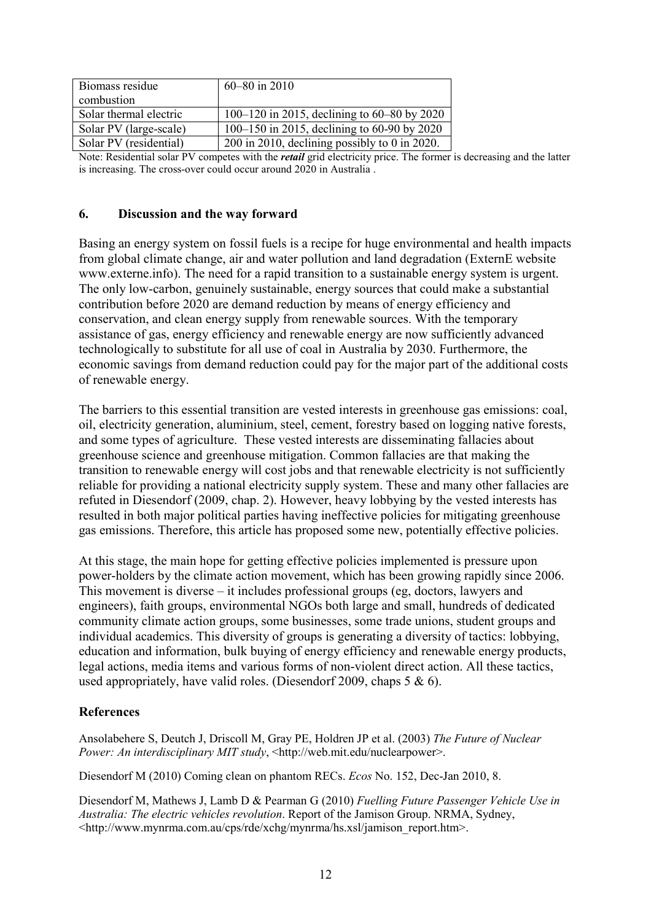| Biomass residue        | $60 - 80$ in 2010                               |
|------------------------|-------------------------------------------------|
| combustion             |                                                 |
| Solar thermal electric | 100–120 in 2015, declining to 60–80 by 2020     |
| Solar PV (large-scale) | 100–150 in 2015, declining to 60-90 by 2020     |
| Solar PV (residential) | $200$ in 2010, declining possibly to 0 in 2020. |

Note: Residential solar PV competes with the *retail* grid electricity price. The former is decreasing and the latter is increasing. The cross-over could occur around 2020 in Australia .

#### **6. Discussion and the way forward**

Basing an energy system on fossil fuels is a recipe for huge environmental and health impacts from global climate change, air and water pollution and land degradation (ExternE website www.externe.info). The need for a rapid transition to a sustainable energy system is urgent. The only low-carbon, genuinely sustainable, energy sources that could make a substantial contribution before 2020 are demand reduction by means of energy efficiency and conservation, and clean energy supply from renewable sources. With the temporary assistance of gas, energy efficiency and renewable energy are now sufficiently advanced technologically to substitute for all use of coal in Australia by 2030. Furthermore, the economic savings from demand reduction could pay for the major part of the additional costs of renewable energy.

The barriers to this essential transition are vested interests in greenhouse gas emissions: coal, oil, electricity generation, aluminium, steel, cement, forestry based on logging native forests, and some types of agriculture. These vested interests are disseminating fallacies about greenhouse science and greenhouse mitigation. Common fallacies are that making the transition to renewable energy will cost jobs and that renewable electricity is not sufficiently reliable for providing a national electricity supply system. These and many other fallacies are refuted in Diesendorf (2009, chap. 2). However, heavy lobbying by the vested interests has resulted in both major political parties having ineffective policies for mitigating greenhouse gas emissions. Therefore, this article has proposed some new, potentially effective policies.

At this stage, the main hope for getting effective policies implemented is pressure upon power-holders by the climate action movement, which has been growing rapidly since 2006. This movement is diverse – it includes professional groups (eg, doctors, lawyers and engineers), faith groups, environmental NGOs both large and small, hundreds of dedicated community climate action groups, some businesses, some trade unions, student groups and individual academics. This diversity of groups is generating a diversity of tactics: lobbying, education and information, bulk buying of energy efficiency and renewable energy products, legal actions, media items and various forms of non-violent direct action. All these tactics, used appropriately, have valid roles. (Diesendorf 2009, chaps 5 & 6).

#### **References**

Ansolabehere S, Deutch J, Driscoll M, Gray PE, Holdren JP et al. (2003) *The Future of Nuclear Power: An interdisciplinary MIT study*, <http://web.mit.edu/nuclearpower>.

Diesendorf M (2010) Coming clean on phantom RECs. *Ecos* No. 152, Dec-Jan 2010, 8.

Diesendorf M, Mathews J, Lamb D & Pearman G (2010) *Fuelling Future Passenger Vehicle Use in Australia: The electric vehicles revolution*. Report of the Jamison Group. NRMA, Sydney, <http://www.mynrma.com.au/cps/rde/xchg/mynrma/hs.xsl/jamison\_report.htm>.